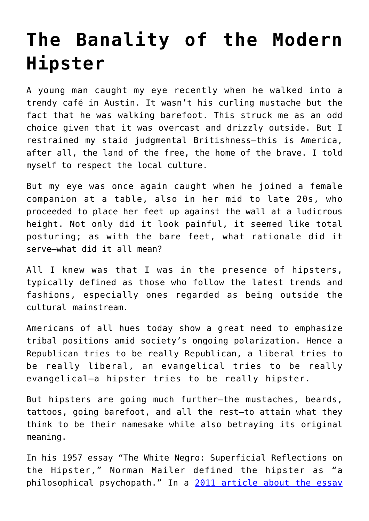## **[The Banality of the Modern](https://intellectualtakeout.org/2019/03/the-banality-of-the-modern-hipster/) [Hipster](https://intellectualtakeout.org/2019/03/the-banality-of-the-modern-hipster/)**

A young man caught my eye recently when he walked into a trendy café in Austin. It wasn't his curling mustache but the fact that he was walking barefoot. This struck me as an odd choice given that it was overcast and drizzly outside. But I restrained my staid judgmental Britishness—this is America, after all, the land of the free, the home of the brave. I told myself to respect the local culture.

But my eye was once again caught when he joined a female companion at a table, also in her mid to late 20s, who proceeded to place her feet up against the wall at a ludicrous height. Not only did it look painful, it seemed like total posturing; as with the bare feet, what rationale did it serve—what did it all mean?

All I knew was that I was in the presence of hipsters, typically defined as those who follow the latest trends and fashions, especially ones regarded as being outside the cultural mainstream.

Americans of all hues today show a great need to emphasize tribal positions amid society's ongoing polarization. Hence a Republican tries to be really Republican, a liberal tries to be really liberal, an evangelical tries to be really evangelical—a hipster tries to be really hipster.

But hipsters are going much further—the mustaches, beards, tattoos, going barefoot, and all the rest—to attain what they think to be their namesake while also betraying its original meaning.

In his 1957 essay "The White Negro: Superficial Reflections on the Hipster," Norman Mailer defined the hipster as "a philosophical psychopath." In a [2011 article about the essay](https://projectmailer.net/pm/%E2%80%9CThe_White_Negro%E2%80%9D_Revisited:_The_Demise_of_the_Indispensable_Hipster)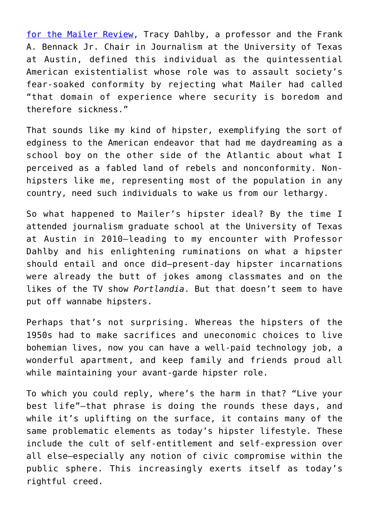[for the Mailer Review](https://projectmailer.net/pm/%E2%80%9CThe_White_Negro%E2%80%9D_Revisited:_The_Demise_of_the_Indispensable_Hipster), Tracy Dahlby, a professor and the Frank A. Bennack Jr. Chair in Journalism at the University of Texas at Austin, defined this individual as the quintessential American existentialist whose role was to assault society's fear-soaked conformity by rejecting what Mailer had called "that domain of experience where security is boredom and therefore sickness."

That sounds like my kind of hipster, exemplifying the sort of edginess to the American endeavor that had me daydreaming as a school boy on the other side of the Atlantic about what I perceived as a fabled land of rebels and nonconformity. Nonhipsters like me, representing most of the population in any country, need such individuals to wake us from our lethargy.

So what happened to Mailer's hipster ideal? By the time I attended journalism graduate school at the University of Texas at Austin in 2010—leading to my encounter with Professor Dahlby and his enlightening ruminations on what a hipster should entail and once did—present-day hipster incarnations were already the butt of jokes among classmates and on the likes of the TV show *Portlandia*. But that doesn't seem to have put off wannabe hipsters.

Perhaps that's not surprising. Whereas the hipsters of the 1950s had to make sacrifices and uneconomic choices to live bohemian lives, now you can have a well-paid technology job, a wonderful apartment, and keep family and friends proud all while maintaining your avant-garde hipster role.

To which you could reply, where's the harm in that? "Live your best life"—that phrase is doing the rounds these days, and while it's uplifting on the surface, it contains many of the same problematic elements as today's hipster lifestyle. These include the cult of self-entitlement and self-expression over all else—especially any notion of civic compromise within the public sphere. This increasingly exerts itself as today's rightful creed.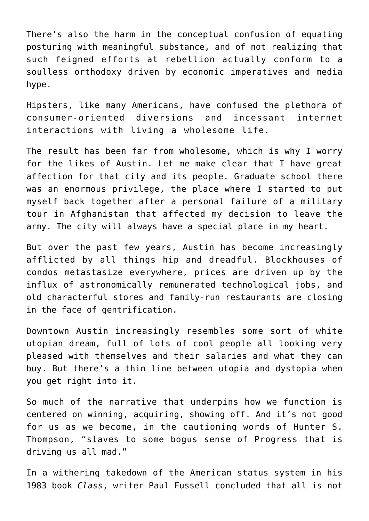There's also the harm in the conceptual confusion of equating posturing with meaningful substance, and of not realizing that such feigned efforts at rebellion actually conform to a soulless orthodoxy driven by economic imperatives and media hype.

Hipsters, like many Americans, have confused the plethora of consumer-oriented diversions and incessant internet interactions with living a wholesome life.

The result has been far from wholesome, which is why I worry for the likes of Austin. Let me make clear that I have great affection for that city and its people. Graduate school there was an enormous privilege, the place where I started to put myself back together after a personal failure of a military tour in Afghanistan that affected my decision to leave the army. The city will always have a special place in my heart.

But over the past few years, Austin has become increasingly afflicted by all things hip and dreadful. Blockhouses of condos metastasize everywhere, prices are driven up by the influx of astronomically remunerated technological jobs, and old characterful stores and family-run restaurants are closing in the face of gentrification.

Downtown Austin increasingly resembles some sort of white utopian dream, full of lots of cool people all looking very pleased with themselves and their salaries and what they can buy. But there's a thin line between utopia and dystopia when you get right into it.

So much of the narrative that underpins how we function is centered on winning, acquiring, showing off. And it's not good for us as we become, in the cautioning words of Hunter S. Thompson, "slaves to some bogus sense of Progress that is driving us all mad."

In a withering takedown of the American status system in his 1983 book *Class*, writer Paul Fussell concluded that all is not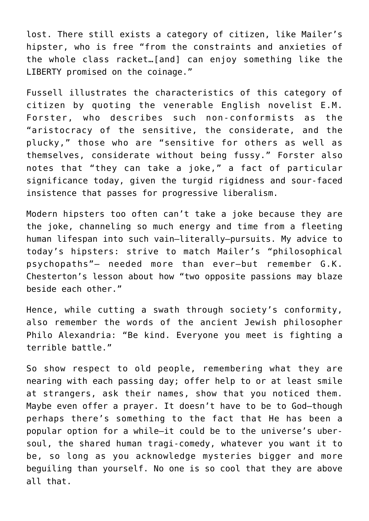lost. There still exists a category of citizen, like Mailer's hipster, who is free "from the constraints and anxieties of the whole class racket…[and] can enjoy something like the LIBERTY promised on the coinage."

Fussell illustrates the characteristics of this category of citizen by quoting the venerable English novelist E.M. Forster, who describes such non-conformists as the "aristocracy of the sensitive, the considerate, and the plucky," those who are "sensitive for others as well as themselves, considerate without being fussy." Forster also notes that "they can take a joke," a fact of particular significance today, given the turgid rigidness and sour-faced insistence that passes for progressive liberalism.

Modern hipsters too often can't take a joke because they are the joke, channeling so much energy and time from a fleeting human lifespan into such vain—literally—pursuits. My advice to today's hipsters: strive to match Mailer's "philosophical psychopaths"— needed more than ever—but remember G.K. Chesterton's lesson about how "two opposite passions may blaze beside each other."

Hence, while cutting a swath through society's conformity, also remember the words of the ancient Jewish philosopher Philo Alexandria: "Be kind. Everyone you meet is fighting a terrible battle."

So show respect to old people, remembering what they are nearing with each passing day; offer help to or at least smile at strangers, ask their names, show that you noticed them. Maybe even offer a prayer. It doesn't have to be to God—though perhaps there's something to the fact that He has been a popular option for a while—it could be to the universe's ubersoul, the shared human tragi-comedy, whatever you want it to be, so long as you acknowledge mysteries bigger and more beguiling than yourself. No one is so cool that they are above all that.